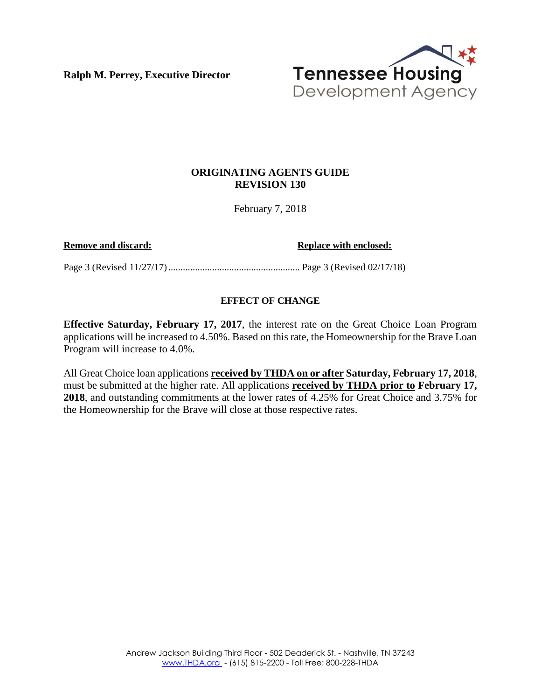**Ralph M. Perrey, Executive Director**



### **ORIGINATING AGENTS GUIDE REVISION 130**

February 7, 2018

**Remove and discard: Replace with enclosed: Replace with enclosed:** 

Page 3 (Revised 11/27/17)...................................................... Page 3 (Revised 02/17/18)

### **EFFECT OF CHANGE**

**Effective Saturday, February 17, 2017**, the interest rate on the Great Choice Loan Program applications will be increased to 4.50%. Based on this rate, the Homeownership for the Brave Loan Program will increase to 4.0%.

All Great Choice loan applications **received by THDA on or after Saturday, February 17, 2018**, must be submitted at the higher rate. All applications **received by THDA prior to February 17, 2018**, and outstanding commitments at the lower rates of 4.25% for Great Choice and 3.75% for the Homeownership for the Brave will close at those respective rates.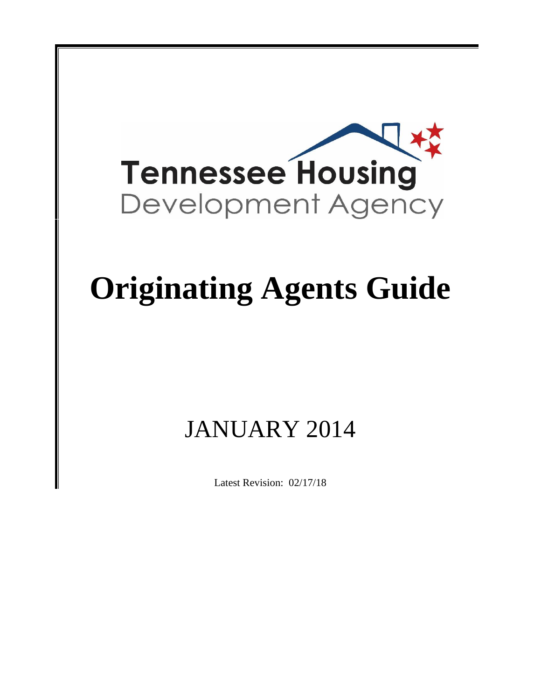

# **Originating Agents Guide**

## JANUARY 2014

Latest Revision: 02/17/18